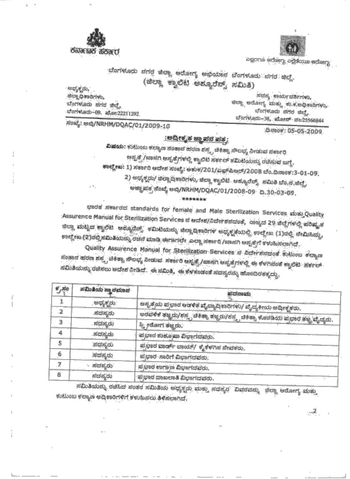



agons edser, agoons edser,

ಬೆಂಗಳೂರು ನಗರ ಜಿಲ್ಲಾ ಆರೋಗ್ಯ ಅಭಿಯಾನ ಬೆಂಗಳೂರು ನಗರ ಜಿಲ್ಲೆ. (ಜಿಲ್ಲಾ ಕ್ವಾಲಿಟ ಅಶ್ಯೂರೆನ್ಸ್ ಸಮಿತಿ)

ಅಧ್ಯಕ್ಷರು, ಜಿಲ್ಲಾಧಿಕಾರಿಗಳು, ಬೆಂಗಳೂರು ನಗರ ಜಿಲ್ಲೆ, ದೆಂಗಳೂರು–09. ಪೋ:22211292

ಸದಸ್ಯ ಕಾರ್ಯದರ್ಶಿಗಳು. ಜಿಲ್ಲಾ ಆರೋಗ್ಯ ಮತ್ತು ಕು.ಕ.ಅಧಿಕಾರಿಗಳು, ಬೆಂಗಳೂರು ನಗರ ಜಿಲ್ಲೆ, ಬೆಂಗಳೂರು-38, ಮೋನ್ ನಂ:25566844

ಸಂಖ್ಯೆ: ಅಬ್ಗಿ/NRHM/DQAC/01/2009-10

ದಿನಾಂಕ: 05-05-2009

### :ಅದ್ವೀಕೃತ ಜ್ಞಾಪನ ಪತ್ರ:

**ವಿಷಯ:** ಕುಟುಂಬ ಕಲ್ಯಾಣ ಸಂತಾನ ಹರಣ ಶಸ್ತ್ರ ಚಿಕಿತ್ಸಾ ಸೌಲಭ್ಯ ನೀಡುವ ಸರ್ಕಾರಿ ಅಸ್ಪತ್ರೆ /ಖಾಸಗಿ ಆಸ್ಪತ್ರೆಗಳಲ್ಲಿ ಕ್ವಾಲಿಟಿ ಸರ್ಕಲ್ ಕಮಿಟಿಯನ್ನು ರಚಿಸುವ ಬಣ್ಣೆ. ಕಾಲ್ಡೇಖ: 1) ಸರ್ಕಾರಿ ಆದೇಶ ಸಂಖ್ಯೆ: ಆಕುಕ/201/ಎಫ್ಪಲ್ರೋರ್/2008 ಬೆಂ.ದಿನಾಂಕ:3-01-09. 2) ಅಧ್ಯಕ್ಷರು/ ಜಿಲ್ಲಾಧಿಕಾರಿಗಳು, ಜಿಲ್ಲಾ ಕ್ವಾಲಿಟಿ ಅಶ್ಯೂರೆನ್ಸ್ ಸಮಿತಿ ಬೆಂ.ನ.ಜಿಲ್ಲೆ, ಅಜ್ಜಾಪತ್ರ ಸೆಂಬ್ಕೆ ಅಬ್ಬಿ/NRHM/DQAC/01/2008-09 ದಿ.30-03-09. \$8.95

ಭಾರತ ಸರ್ಕಾರದ standards for female and Male Sterilization Services ಮತ್ತುQuality Assurence Manual for Sterilization Services ನ ಅದೇಶ/ನಿರ್ದೇಶನದಂತೆ, ರಾಜ್ಯದ 29 ಜಿಲ್ಲೆಗಳಲ್ಲಿ ಪರಿಷ್ಕೃತ ಜಿಲ್ಲಾ ಮಟ್ಟದ ಕ್ವಾಲಿಟಿ ಅಶ್ಯೂರೆನ್ಸ್ ಕಮಿಟಿಯನ್ನು ಜಿಲ್ಲಾದಿಕಾರಿಗಳ ಅಧ್ಯಕ್ಷತೆಯಲ್ಲಿ ಉಲ್ಲೇಖ (1)ರಲ್ಲಿ ನೇಮಿಸಿದ್ದು, ಉಲ್ಲೇಖ (2)ರಲ್ಲಿ ಸಮಿತಿಯನ್ನು ರಚನೆ ಮಾಡಿ ಈಗಾಗಲೇ ಎಲ್ಲಾ ನರ್ಕಾರಿ /ಖಾಸಗಿ ಆಪ್ಪತ್ರೆಗೆ ಕಳುಹಿಸಲಾಗಿದೆ.

Quality Assurence Manual for Sterilization Services ನ ನಿರ್ದೇಶನದಂತೆ ಕುಟುಂಬ ಕಲ್ಯಾಣ ಸಂತಾನ ಹರಣ ಶಸ್ತ್ರ ಚಿಕಿತ್ಸಾ ನೌಲಭ್ಯ ನೀಡುವ. ಸರ್ಕಾರಿ ಅಸ್ಪತ್ರೆ /ಖಾಸಗಿ ಅಸ್ಪತ್ರೆಗಳಲ್ಲಿ ಈ ಕೆಳಗಿನಂತೆ ಕ್ವಾಲಿಟಿ. ಸರ್ಕಲ್ ಸಮಿತಿಯನ್ನು ರಚಿಸಲು ಅದೇಶ ನೀಡಿದೆ. ಈ ಸಮಿತಿ, ಈ ಕೆಳಕಂಡಂತೆ ಸದಸ್ಯರನ್ನು ಹೊಂದಿರತಕ್ಕದ್ದು.

| ಕ್ರೆಸಂ | ಸಮಿತಿಯ ಸ್ಥಾನಮಾನ | ಪದನಾಮ                                                                             |
|--------|-----------------|-----------------------------------------------------------------------------------|
|        | ಅಧ್ಯಕ್ಷರು       | ಅಸ್ಪ್ರತ್ರೆಯ ಪ್ರಭಾರ ಅಡಳಿತ ವೈದ್ಯಾದ್ರಿಕಾರಿಗಳು/ ವೈದ್ಯಕೀಯ ಅದ್ವೀಕೃಕರು.                  |
|        | ಸದಸ್ಯರು         | ಅರವಳಿಕೆ ತಜ್ಞರು/ಶಸ್ತ್ರ ಚಿಕಿತ್ಸಾ ತಜ್ಞರು/ಶಸ್ತ್ರ ಚಿಕಿತ್ಸಾ ಕೊಠಡಿಯ ಪ್ರಭಾರ ತಜ್ಞ ವೈದ್ಯರು. |
|        | ಸದಸ್ಯರು         | ಸ್ತ್ರೀರೋಗ ತಜ್ಞರು.                                                                 |
| 4      | ಸದಸ್ಯರು         | ಪ್ರಭಾರ ಶುಶೂ ಪಾ ವಿಭಾಗದವರು.                                                         |
| 5      | ಸದಸ್ಯರು         | ಪ್ರಭಾರ ವಾರ್ಡ್ ಬಾಯ್/ ಕೈಕೆಳಗಿನ ನೇವಕರು.                                              |
| 6      | ಸದಸ್ಯರು         | ಪ್ರಭಾರ ಸಾರಿಗೆ ವಿಭಾಗದವರು.                                                          |
|        | ಸದಸ್ಯರು:        | ಪ್ರಭಾರ ಉಗಾಣ ವಿಭಾಗದವರು.                                                            |
| 8      | ಸದಸ್ಯರು         | ಪ್ರಭಾರ ದಾಖಲಾತಿ ವಿಭಾಗದವರು.                                                         |

ಸಮಿತಿಯನ್ನು ರಚಿಸಿದ ನಂತರ ಸಮಿತಿಯ ಅಧ್ಯಕ್ಷರು ಮತ್ತು ಸದಸ್ಯರ "ವಿವರವನ್ನು -ಜಿಲ್ಲಾ ಆರೋಗ್ಯ ಮತ್ತು ಕುಟುಂಬ ಕಲ್ಯಾಣ ಅಧಿಕಾರಿಗಳಿಗೆ ಕಳುಹಿಸಲು ತಿಳಿಸಲಾಗಿದೆ.

. . 2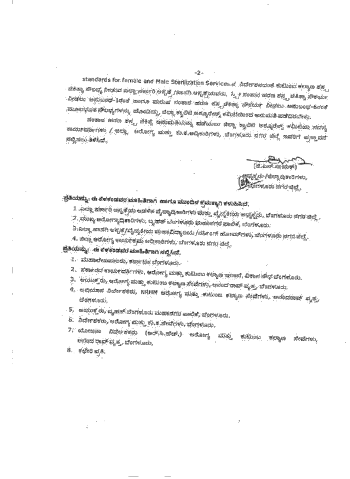standards for female and Male Sterilization Services ನ*ಿರ್ದೇಶನದಂತೆ ಕುಟುಂಬ ಕಲ್ಯಾಣ ಶಸ್ತ್*ಯ ಚಿಕಿತ್ಸಾ ಸೌಲಭ್ಯ ನೀಡುವ ಎಲ್ಲಾ ಸರ್ಕಾರಿ ಅಸ್ಪತ್ರೆ /ಖಾಸಗಿ ಆಸ್ಪತ್ರೆಯವರು, ಸ್ತ್ರೀ ಸಂಹಾನ ಹರಣ ಶಸ್ತ್ರ ಚಿಕಿತ್ಸಾ ಸೌಕರ್ಯ ನೀಡಲು ಅನುಬಂಧ-1ರಂತೆ ಹಾಗೂ ಮರುಷ ಸಂತಾನ ಹರಣ ಶಸ್ತ್ರಚಿಕಿತ್ಸಾ ಸೌಕರ್ಯ ನೀಡಲು ಅನುಬಂಧ-6ರಂತೆ ಮೂಲಭೂತ ನೌಲಭ್ಯಗಳನ್ನು ಹೊಂದಿದ್ದು, ಜಿಲ್ಲಾ ಕ್ವಾಲಿಟಿ ಅಶ್ಯೂರೇನ್ಸ್ ಕಮಿಟಿಯಿಂದ ಅನುಮತಿ ಪಡೆದಿರಬೇಕು.

ಸಂತಾನ ಹರಣ ಶಸ್ತ್ರ ಚಿಕಿತ್ಸೆ ಅನುಮತಿಯನ್ನು ಪಡೆಯಲು ಜಿಲ್ಲಾ ಕ್ಯಾಲಿಟಿ ಅಶ್ಯೂರೆನ್ಸ್ ಕಮಿಟಯ ಸದಸ್ಯ ಕಾರ್ಯದರ್ಶಿಗಳು / ಜಿಲ್ಲಾ - ಆರೋಗ್ಯ ಮತ್ತು ಕು.ಕ.ಅದ್ದಿಕಾರಿಗಳು, ಬೆಂಗಳೂರು ನಗರ ಜಿಲ್ಲೆ ಇವರಿಗೆ ಪ್ರಸ್ತಾವನೆ ಸಲ್ಲಿಸಲು ತಿಳಿಸಿದೆ.

(@ಧ್ಯಕ್ಷರು /ಜಿಲ್ಲಾ ದಿಕಾರಿಗಳು,<br>@@ದ್ಯುಗಳೂರು ನಗರ ಜಿಲ್ಲೆ

## ಪ್ರತಿಯನ್ನು: ಈ ಕೆಳಕಂಡವರ ಮಾಹಿತಿಗಾಗಿ ಹಾಗೂ ಮುಂದಿನ ಕ್ರಮಕ್ಕಾಗಿ ಕಳುಹಿಸಿದೆ.

- 1 .ಎಲ್ಲಾ ಸರ್ಕಾರಿ ಅಸ್ಪತ್ರೆಯ ಅಡಳಿತ ವೈದ್ಯಾದಿಕಾರಿಗಳು ಮತ್ತು ವೈದ್ಯಕೀಯ ಅಧ್ಯಕ್ಷರು, ಬೆಂಗಳೂರು ನಗರ ಜಿಲ್ಲೆ .
- 2 . ಮುಖ್ಯ ಆರೋಗ್ಯಾದ್ಗಿಕಾರಿಗಳು, ಬೃಹತ್ ಬೆಂಗಳೂರು ಮಹಾನಗರ ಪಾಲಿಕೆ, ಬೆಂಗಳೂರು.
- 3.ಎಲ್ಲಾ ಖಾಸಗಿ ಅಸ್ಪತೆ/ವೈದ್ಯಕೀಯ ಮಹಾವಿದ್ಯಾಲಯ /ನರ್ಸಿಂಗ್ ಹೋಮ್ ಗಳು, ಬೆಂಗಳೂರು ನಗರ ಜಿಲ್ಲೆ.
- 4. ಜಿಲ್ಲಾ ಆರೋಗ್ಯ ಕಾರ್ಯಕ್ರಮ ಅದಿಕಾರಿಗಳು, ಬೆಂಗಳೂರು ನಗರ ಜಿಲ್ಲೆ.

### ಪ್ರತಿಯನ್ನು: - ಈ ಕೆಳಕಂಡವರ ಮಾಹಿತಿಗಾಗಿ ಸಲ್ಲಿಸಿದೆ.

- 1. ಮಹಾಲೇಖಪಾಲರು, ಕರ್ನಾಟಕ ಬೆಂಗಳೂರು.
- 2. ಸರ್ಕಾರದ ಕಾರ್ಯದರ್ಶಿಗಳು, ಆರೋಗ್ಯ ಮತ್ತು ಕುಟುಂಬ ಕಲ್ಯಾಣ ಇಲಾಖೆ, ವಿಕಾಸ ಸೌಧ ಬೆಂಗಳೂರು.
- 3. ಅಯುಕ್ತರು, ಆರೋಗ್ಯ ಮತ್ತು ಕುಟುಂಬ ಕಲ್ಯಾಣ ಸೇವೆಗಳು, ಆನಂದ ರಾವ್ ವೃತ್ತ, ಬೆಂಗಳೂರು.
- 4. ಅಭಿಯಾನ ನಿರ್ದೇಶಕರು, NRHM ಅರೋಗ್ಯ ಮತ್ತು ಕುಟುಂಬ ಕಲ್ಯಾಣ ನೇವೆಗಳು, ಅನಂದರಾವ್ ವೃತ್ತ,
- 5. ಅಯುಕ್ತರು, ಬೃಹತ್ ಬೆಂಗಳೂರು ಮಹಾನಗರ ಪಾಲಿಕೆ, ಬೆಂಗಳೂರು.
- 6. ನಿರ್ದೇಶಕರು, ಆರೋಗ್ಯ ಮತ್ತು ಕು.ಕ.ಸೇವೆಗಳು, ಬೆಂಗಳೂರು.
- 7. ಯೋಜನಾ ನಿರ್ದೇಶಕರು (ಅರ್.ಸಿ.ಹೆಚ್.) ಅರೋಗ್ಯ ಮತ್ತು ಕುಟುಂಬ ಕಲ್ಯಾಣ ಸೇವೆಗಳು, ಅನೆಂದ ರಾವ್ ವೃತ್ತ, ಬೆಂಗಳೂರು,
- 8. ಕಛೇರಿ ಪ್ರತಿ.

 $-2-$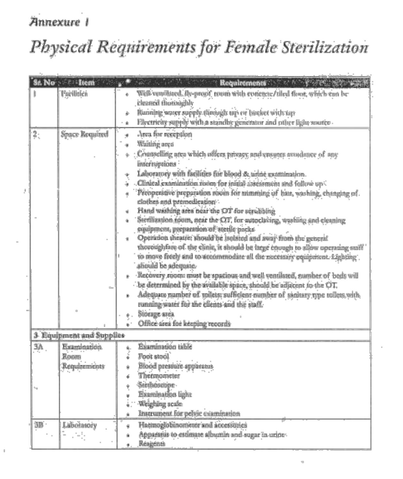#### Annexure 1

## Physical Requirements for Female Sterilization

|    | Sr. No. 1tem                         | Requirements and the                                                                                                                                                                                                                                                                                                                                                                                                                                                                                                                                                                                                                                                                                                                                                                                                                                                                                                                                                                                                                                                                                                                                             |
|----|--------------------------------------|------------------------------------------------------------------------------------------------------------------------------------------------------------------------------------------------------------------------------------------------------------------------------------------------------------------------------------------------------------------------------------------------------------------------------------------------------------------------------------------------------------------------------------------------------------------------------------------------------------------------------------------------------------------------------------------------------------------------------------------------------------------------------------------------------------------------------------------------------------------------------------------------------------------------------------------------------------------------------------------------------------------------------------------------------------------------------------------------------------------------------------------------------------------|
|    | Pacilities                           | Well-ventilated, fly-proof, triom with concrete/tiled floor, which can be<br>ă.<br>cleaned thoroughly<br>Running water supply through up or bucket with tap<br>è                                                                                                                                                                                                                                                                                                                                                                                                                                                                                                                                                                                                                                                                                                                                                                                                                                                                                                                                                                                                 |
|    |                                      | Electricity supply with a standby generator and other light source<br>٠                                                                                                                                                                                                                                                                                                                                                                                                                                                                                                                                                                                                                                                                                                                                                                                                                                                                                                                                                                                                                                                                                          |
| 2  | Space Required                       | Area for reception<br>٠<br>Waiting area<br>٠<br>Connecting area which offers privacy and ensures avoidance of any<br>à.<br>interruptions<br>Laboratory with facilities for blood & urine examination.<br>Clinical examination room for initial assessment and follow up-<br>Preoperative preparation room for trimming of hair, washing, changing of<br>٠<br>clothes and premedication<br>Hand washing area near the OT for scrubbing<br>٠<br>Sterilization toom, near the OT, for autoclaving, washing and cleaning<br>٠<br>equipment, preparation of sterile packs<br>Operation theatre: should be isolated and away from the general<br>thoroughfare of the clinic, it should be large enough to allow operating staff<br>to move freely and to accommodate all the necessary equipment. Eighting<br>abould be adequate.<br>Recovery room: must be spacious and well ventilated, number of beds will<br>be determined by the available space, should be adjacent to the OT.<br>Adequate number of toilets: sufficient number of sinitary type toilets with<br>running water for the clients and the staff.<br>Storage area<br>Office area for keeping records |
|    | 3 Equipment and Supplies             |                                                                                                                                                                                                                                                                                                                                                                                                                                                                                                                                                                                                                                                                                                                                                                                                                                                                                                                                                                                                                                                                                                                                                                  |
| ٦٨ | Examination.<br>Room<br>Requirements | Examination table<br>ú.<br>Foot stool<br>Blood pressure apparatus<br>Thermometer<br>é<br>Stethoscope<br>Examination light<br>٠<br>Weighing scale<br>ù<br>Instrument for pelvic examination<br>٠                                                                                                                                                                                                                                                                                                                                                                                                                                                                                                                                                                                                                                                                                                                                                                                                                                                                                                                                                                  |
| 那  | Labotatory                           | Haemoglobinometer and accessories<br>٠<br>Apparatus to estimate albumin and sugar in urine-<br>Reagents                                                                                                                                                                                                                                                                                                                                                                                                                                                                                                                                                                                                                                                                                                                                                                                                                                                                                                                                                                                                                                                          |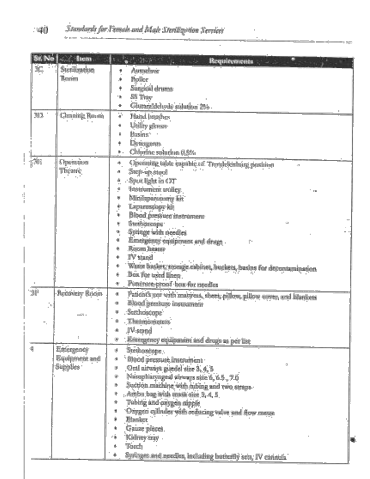|          | $\sim$ Item          | <b>Requirements</b><br>And the contract of the contract                     |
|----------|----------------------|-----------------------------------------------------------------------------|
| 3C       | Sterilization        | Autoclave<br>٠                                                              |
|          | Rewirm               | Boiler<br>۰                                                                 |
|          |                      | Surgicial drums<br>٠                                                        |
|          |                      | SS Tray<br>٠                                                                |
|          |                      | Glutaraldelwdo sulution 25%<br>٠                                            |
| 313      | <b>Cleaning Room</b> | Hand brushes<br>٠                                                           |
|          |                      | Utility gloves<br>٠                                                         |
|          |                      | Basins:<br>٠                                                                |
|          |                      | Detergents<br>۰                                                             |
|          |                      | Chlorine solution 0.5%<br>٠.                                                |
| (5B      | Operation            | ۰<br>Operating table expable of Trendelenburg position                      |
|          | Theatre              | Step-up stool<br>٠                                                          |
|          |                      | Spot light in OT<br>٠                                                       |
|          |                      | Instrument trolley.<br>٠                                                    |
|          |                      | Minilaparunsniy kit<br>٠                                                    |
|          |                      | Laparoscope kit<br>۰                                                        |
|          |                      | Blood pressure instrument<br>٠                                              |
|          |                      | Stethosoope<br>٠                                                            |
|          |                      | Syringe with needles<br>٠                                                   |
|          |                      | ٠<br>Emergency equipment and drugs                                          |
|          |                      | Room heater<br>٠                                                            |
|          |                      | IV stand<br>۰                                                               |
|          |                      | Waste basket, storage cabinet, buckets, basins for decontamination<br>۰     |
|          |                      | Box for used linen<br>٠                                                     |
|          |                      | ٠<br>Pancrure-proof box for needles                                         |
| $31^{1}$ | Recovery Ruom        | ٠<br>Patient's cor with mattress, sheet, pillow, pillow cover, and blankets |
|          |                      | Blood pressure instrument<br>٠                                              |
|          |                      | Secthoscope<br>٠                                                            |
|          |                      | <b>Thermometers</b><br>٠                                                    |
|          |                      | bness V1<br>٠                                                               |
|          |                      | ٠<br>Emergency equipment and drugs as per list                              |
|          | Emergency            | Stethoscope<br>٠                                                            |
|          | Equipment and        | Blood pressure instrument<br>٠                                              |
|          | Supplies             | Oral airways guedel size 3, 4, 5<br>٠                                       |
|          |                      | Nasopharyngeal sirways size 6, 6.5, 7.0<br>٠                                |
|          |                      | Suction machine with tubing and two straps-<br>۰                            |
|          |                      | Ambu bag with mask size 3, 4, 5<br>٠                                        |
|          |                      | Tubing and oxygen nipple                                                    |
|          |                      | Oxygen cylinder with reducing valve and flow metre<br>٠                     |
|          |                      | Blanket<br>٠                                                                |
|          |                      | Gauze pieces                                                                |
|          |                      | Kidney tray<br>٠                                                            |
|          |                      | Torch<br>á                                                                  |
|          |                      | Syringes and needles, including butterfly sets, IV cannula                  |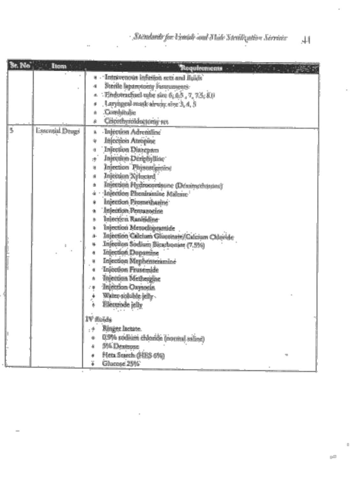×,

| St. No. | Item            | <b>Requirements</b>                                                                                                                                                                                                                                                                                                                                                                                                                                                                                                                                                                                                                                                                        |
|---------|-----------------|--------------------------------------------------------------------------------------------------------------------------------------------------------------------------------------------------------------------------------------------------------------------------------------------------------------------------------------------------------------------------------------------------------------------------------------------------------------------------------------------------------------------------------------------------------------------------------------------------------------------------------------------------------------------------------------------|
|         |                 | Intravenous infusion sets and fluids<br>٠<br>Sterile laparotomy instruments<br>٠<br>Endomachael tube size 6, 6,5, 7, 7,5, 8,0<br>٠<br>Laryingeal mask airway size 3, 4, 5<br>٠<br>Combindio<br>٠<br>Cricothyroidsctomy set<br>٠                                                                                                                                                                                                                                                                                                                                                                                                                                                            |
| 5       | Essential Drugs | Injection Adrenaline<br>٠<br>Injection Atropine<br>٠<br>Injection Disacpam<br>٠<br>Injection Deriphylline<br>٠<br>Injection Physostiginine<br>٠<br>Injection Xylocard<br>٠<br>Injection Hydrocortisone (Dexamethisone)<br>à<br>Injection Phenimmine Malesie<br>۰<br>Injection Promethazine<br>٠<br>Injection Pentagocine<br>٠<br>Injection Ranitidine<br>Injection Metoclopramide<br>٠<br>Injection Calcium Gluconate/Calcium Chloride<br>٠<br>Injection Sodium Bicarbonine (7.5%)<br>Injection Dopanine<br>Injection Mephenteramine<br>٠<br>Inicction Frusemide<br>٠<br>Injection Methergine<br>۸<br>Injection Oxytocin<br>۰<br>Water-soluble jelly<br>Electrode jelly<br>ă.<br>IV fluids |
|         |                 | Ringer lactate<br>4<br>0.9% sodium chloride (normal saline)<br>٠<br>5% Dextrose<br>٠<br>Heta Search (HES 6%)<br>٠<br>Ghacose 25%                                                                                                                                                                                                                                                                                                                                                                                                                                                                                                                                                           |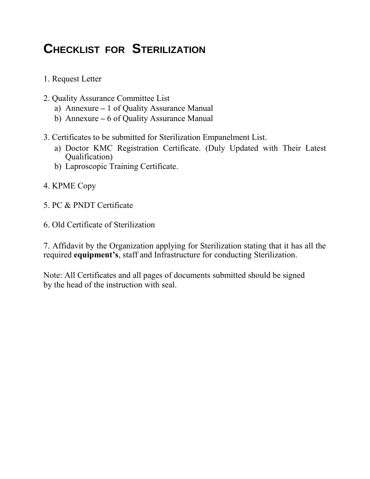# **CHECKLIST FOR STERILIZATION**

- 1. Request Letter
- 2. Quality Assurance Committee List
	- a) Annexure **–** 1 of Quality Assurance Manual
	- b) Annexure **–** 6 of Quality Assurance Manual
- 3. Certificates to be submitted for Sterilization Empanelment List.
	- a) Doctor KMC Registration Certificate. (Duly Updated with Their Latest Qualification)
	- b) Laproscopic Training Certificate.
- 4. KPME Copy
- 5. PC & PNDT Certificate
- 6. Old Certificate of Sterilization

7. Affidavit by the Organization applying for Sterilization stating that it has all the required **equipment's**, staff and Infrastructure for conducting Sterilization.

Note: All Certificates and all pages of documents submitted should be signed by the head of the instruction with seal.